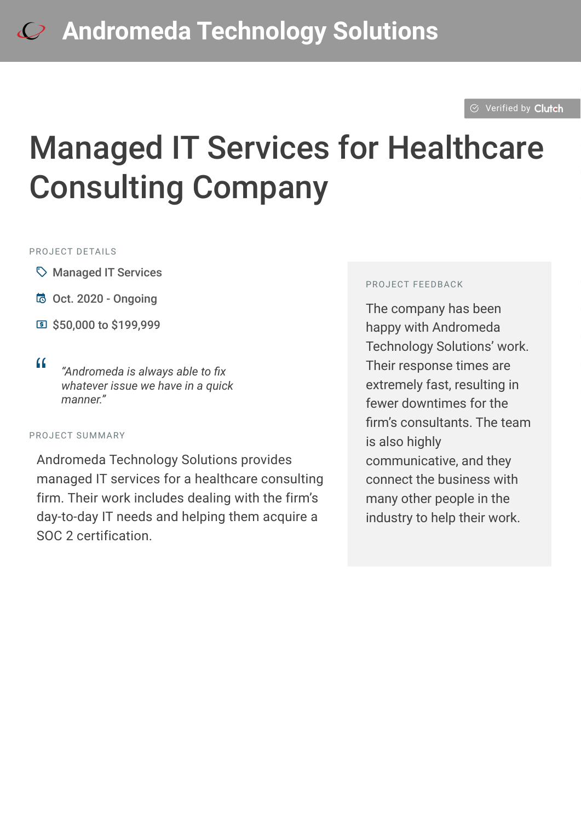#### $\odot$  [Verified by](https://clutch.co?utm_source=case_studies&utm_medium=verified_by_clutch) Clutch

# Managed IT Services for Healthcare Consulting Company

#### PROJECT DETAILS

- $\heartsuit$  Managed IT Services
- B Oct. 2020 Ongoing
- C \$50,000 to \$199,999
- 

<sup>D</sup> *"Andromeda is always able to fix whatever issue we have in a quick manner."*

#### PROJECT SUMMARY

Andromeda Technology Solutions provides managed IT services for a healthcare consulting firm. Their work includes dealing with the firm's day-to-day IT needs and helping them acquire a SOC 2 certification.

#### PROJECT FEEDBACK

The company has been happy with Andromeda Technology Solutions' work. Their response times are extremely fast, resulting in fewer downtimes for the firm's consultants. The team is also highly communicative, and they connect the business with many other people in the industry to help their work.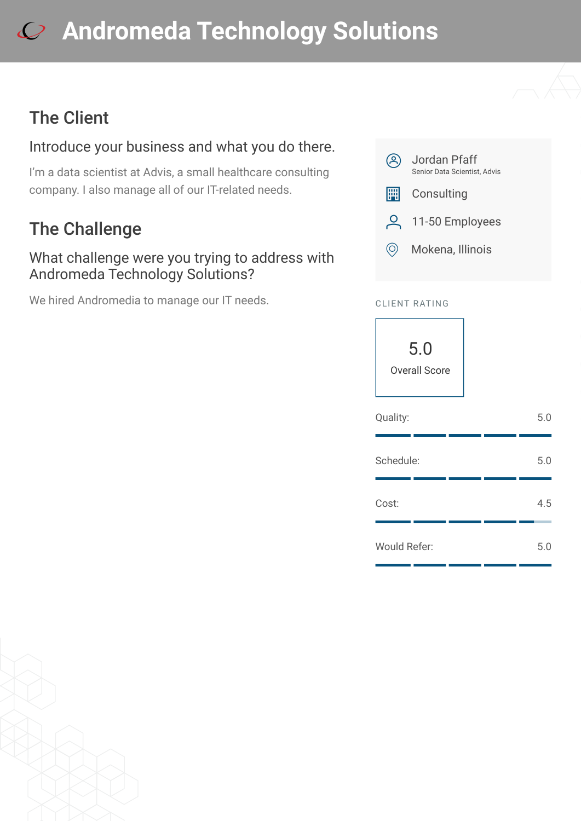# **[A](https://clutch.co/profile/andromeda-technology-solutions?utm_source=case_studies&utm_medium=logo)ndromeda Technology Solutions**

## The Client

### Introduce your business and what you do there.

I'm a data scientist at Advis, a small healthcare consulting company. I also manage all of our IT-related needs.

## The Challenge

### What challenge were you trying to address with Andromeda Technology Solutions?

We hired Andromedia to manage our IT needs.



### CLIENT RATING



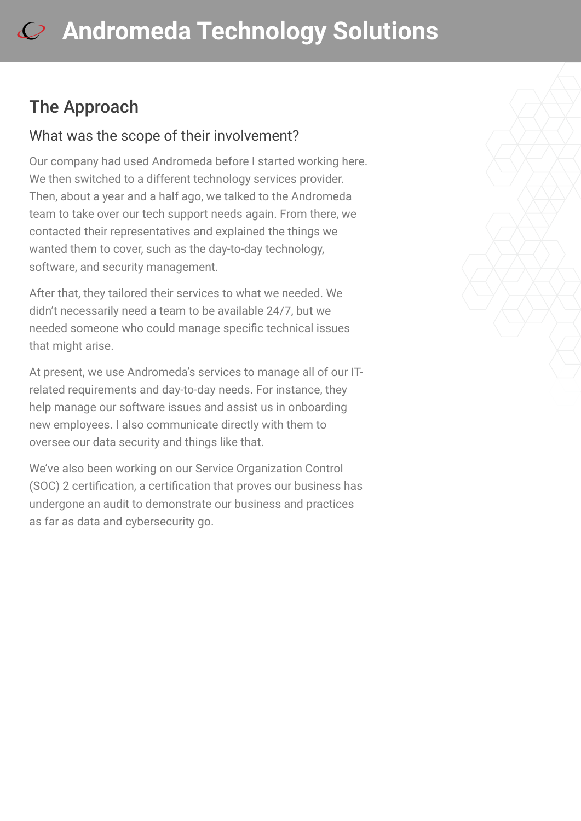## The Approach

### What was the scope of their involvement?

Our company had used Andromeda before I started working here. We then switched to a different technology services provider. Then, about a year and a half ago, we talked to the Andromeda team to take over our tech support needs again. From there, we contacted their representatives and explained the things we wanted them to cover, such as the day-to-day technology, software, and security management.

After that, they tailored their services to what we needed. We didn't necessarily need a team to be available 24/7, but we needed someone who could manage specific technical issues that might arise.

At present, we use Andromeda's services to manage all of our ITrelated requirements and day-to-day needs. For instance, they help manage our software issues and assist us in onboarding new employees. I also communicate directly with them to oversee our data security and things like that.

We've also been working on our Service Organization Control (SOC) 2 certification, a certification that proves our business has undergone an audit to demonstrate our business and practices as far as data and cybersecurity go.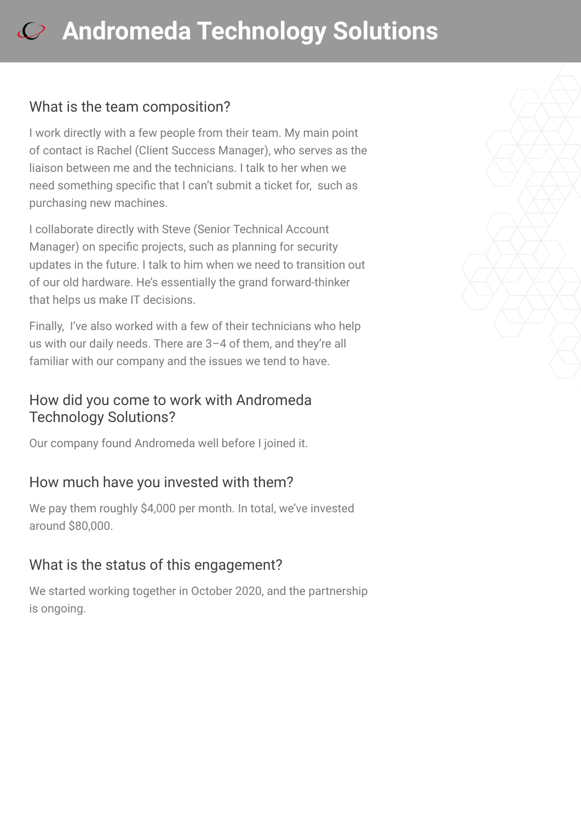# **[A](https://clutch.co/profile/andromeda-technology-solutions?utm_source=case_studies&utm_medium=logo)ndromeda Technology Solutions**

### What is the team composition?

I work directly with a few people from their team. My main point of contact is Rachel (Client Success Manager), who serves as the liaison between me and the technicians. I talk to her when we need something specific that I can't submit a ticket for, such as purchasing new machines.

I collaborate directly with Steve (Senior Technical Account Manager) on specific projects, such as planning for security updates in the future. I talk to him when we need to transition out of our old hardware. He's essentially the grand forward-thinker that helps us make IT decisions.

Finally, I've also worked with a few of their technicians who help us with our daily needs. There are 3–4 of them, and they're all familiar with our company and the issues we tend to have.

### How did you come to work with Andromeda Technology Solutions?

Our company found Andromeda well before I joined it.

### How much have you invested with them?

We pay them roughly \$4,000 per month. In total, we've invested around \$80,000.

### What is the status of this engagement?

We started working together in October 2020, and the partnership is ongoing.

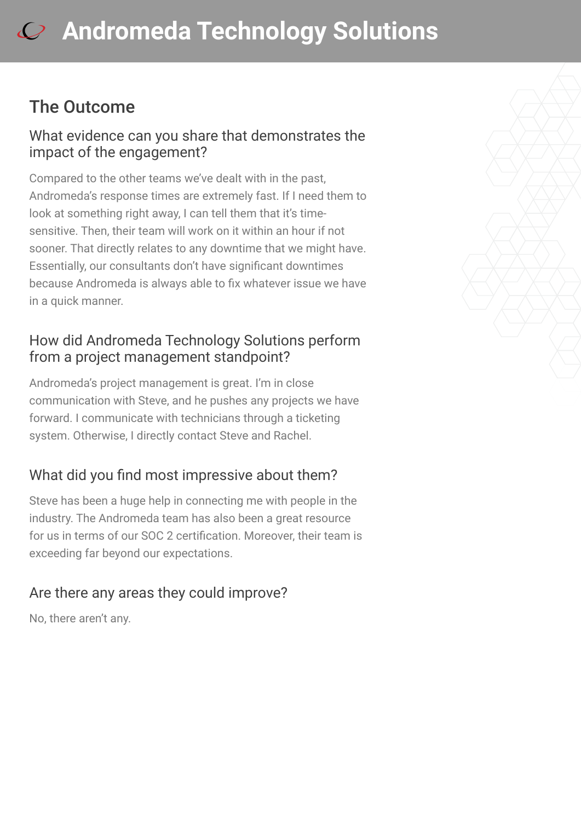## The Outcome

### What evidence can you share that demonstrates the impact of the engagement?

Compared to the other teams we've dealt with in the past, Andromeda's response times are extremely fast. If I need them to look at something right away, I can tell them that it's timesensitive. Then, their team will work on it within an hour if not sooner. That directly relates to any downtime that we might have. Essentially, our consultants don't have significant downtimes because Andromeda is always able to fix whatever issue we have in a quick manner.

### How did Andromeda Technology Solutions perform from a project management standpoint?

Andromeda's project management is great. I'm in close communication with Steve, and he pushes any projects we have forward. I communicate with technicians through a ticketing system. Otherwise, I directly contact Steve and Rachel.

## What did you find most impressive about them?

Steve has been a huge help in connecting me with people in the industry. The Andromeda team has also been a great resource for us in terms of our SOC 2 certification. Moreover, their team is exceeding far beyond our expectations.

## Are there any areas they could improve?

No, there aren't any.